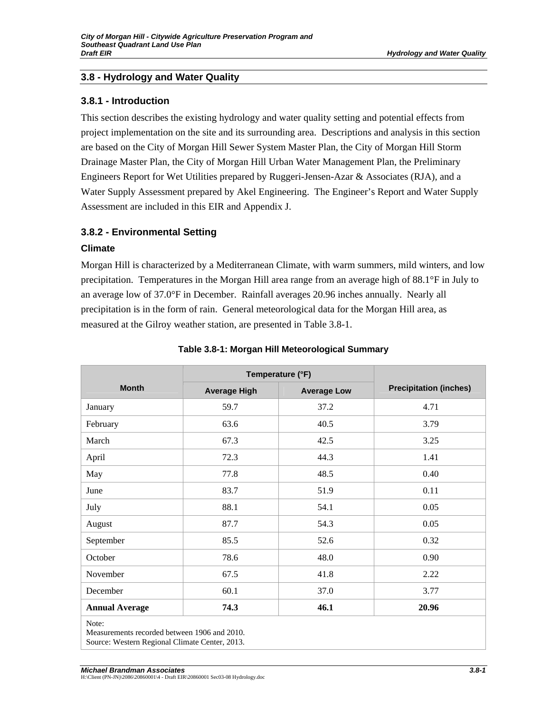#### **3.8.1 - Introduction**

This section describes the existing hydrology and water quality setting and potential effects from project implementation on the site and its surrounding area. Descriptions and analysis in this section are based on the City of Morgan Hill Sewer System Master Plan, the City of Morgan Hill Storm Drainage Master Plan, the City of Morgan Hill Urban Water Management Plan, the Preliminary Engineers Report for Wet Utilities prepared by Ruggeri-Jensen-Azar & Associates (RJA), and a Water Supply Assessment prepared by Akel Engineering. The Engineer's Report and Water Supply Assessment are included in this EIR and Appendix J.

# **3.8.2 - Environmental Setting**

#### **Climate**

Morgan Hill is characterized by a Mediterranean Climate, with warm summers, mild winters, and low precipitation. Temperatures in the Morgan Hill area range from an average high of 88.1°F in July to an average low of 37.0°F in December. Rainfall averages 20.96 inches annually. Nearly all precipitation is in the form of rain. General meteorological data for the Morgan Hill area, as measured at the Gilroy weather station, are presented in Table 3.8-1.

|                                                                                                         | Temperature (°F)    |                    |                               |
|---------------------------------------------------------------------------------------------------------|---------------------|--------------------|-------------------------------|
| <b>Month</b>                                                                                            | <b>Average High</b> | <b>Average Low</b> | <b>Precipitation (inches)</b> |
| January                                                                                                 | 59.7                | 37.2               | 4.71                          |
| February                                                                                                | 63.6                | 40.5               | 3.79                          |
| March                                                                                                   | 67.3                | 42.5               | 3.25                          |
| April                                                                                                   | 72.3                | 44.3               | 1.41                          |
| May                                                                                                     | 77.8                | 48.5               | 0.40                          |
| June                                                                                                    | 83.7                | 51.9               | 0.11                          |
| July                                                                                                    | 88.1                | 54.1               | 0.05                          |
| August                                                                                                  | 87.7                | 54.3               | 0.05                          |
| September                                                                                               | 85.5                | 52.6               | 0.32                          |
| October                                                                                                 | 78.6                | 48.0               | 0.90                          |
| November                                                                                                | 67.5                | 41.8               | 2.22                          |
| December                                                                                                | 60.1                | 37.0               | 3.77                          |
| <b>Annual Average</b>                                                                                   | 74.3                | 46.1               | 20.96                         |
| Note:<br>Measurements recorded between 1906 and 2010.<br>Source: Western Regional Climate Center, 2013. |                     |                    |                               |

#### **Table 3.8-1: Morgan Hill Meteorological Summary**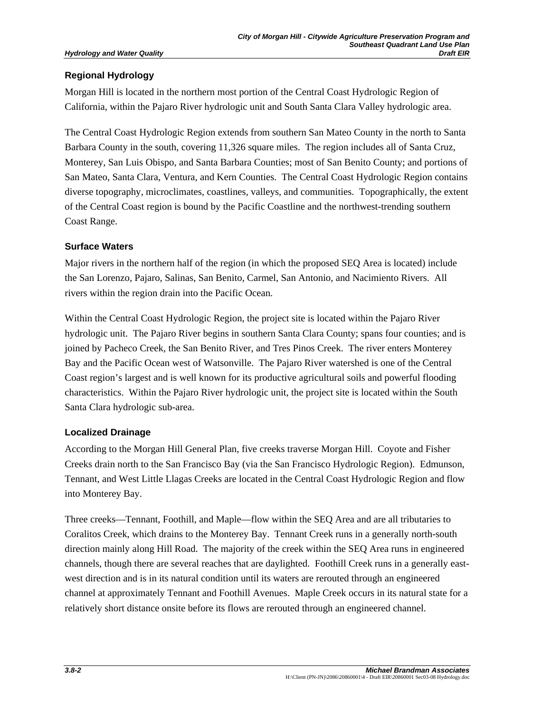# **Regional Hydrology**

Morgan Hill is located in the northern most portion of the Central Coast Hydrologic Region of California, within the Pajaro River hydrologic unit and South Santa Clara Valley hydrologic area.

The Central Coast Hydrologic Region extends from southern San Mateo County in the north to Santa Barbara County in the south, covering 11,326 square miles. The region includes all of Santa Cruz, Monterey, San Luis Obispo, and Santa Barbara Counties; most of San Benito County; and portions of San Mateo, Santa Clara, Ventura, and Kern Counties. The Central Coast Hydrologic Region contains diverse topography, microclimates, coastlines, valleys, and communities. Topographically, the extent of the Central Coast region is bound by the Pacific Coastline and the northwest-trending southern Coast Range.

# **Surface Waters**

Major rivers in the northern half of the region (in which the proposed SEQ Area is located) include the San Lorenzo, Pajaro, Salinas, San Benito, Carmel, San Antonio, and Nacimiento Rivers. All rivers within the region drain into the Pacific Ocean.

Within the Central Coast Hydrologic Region, the project site is located within the Pajaro River hydrologic unit. The Pajaro River begins in southern Santa Clara County; spans four counties; and is joined by Pacheco Creek, the San Benito River, and Tres Pinos Creek. The river enters Monterey Bay and the Pacific Ocean west of Watsonville. The Pajaro River watershed is one of the Central Coast region's largest and is well known for its productive agricultural soils and powerful flooding characteristics. Within the Pajaro River hydrologic unit, the project site is located within the South Santa Clara hydrologic sub-area.

### **Localized Drainage**

According to the Morgan Hill General Plan, five creeks traverse Morgan Hill. Coyote and Fisher Creeks drain north to the San Francisco Bay (via the San Francisco Hydrologic Region). Edmunson, Tennant, and West Little Llagas Creeks are located in the Central Coast Hydrologic Region and flow into Monterey Bay.

Three creeks—Tennant, Foothill, and Maple—flow within the SEQ Area and are all tributaries to Coralitos Creek, which drains to the Monterey Bay. Tennant Creek runs in a generally north-south direction mainly along Hill Road. The majority of the creek within the SEQ Area runs in engineered channels, though there are several reaches that are daylighted. Foothill Creek runs in a generally eastwest direction and is in its natural condition until its waters are rerouted through an engineered channel at approximately Tennant and Foothill Avenues. Maple Creek occurs in its natural state for a relatively short distance onsite before its flows are rerouted through an engineered channel.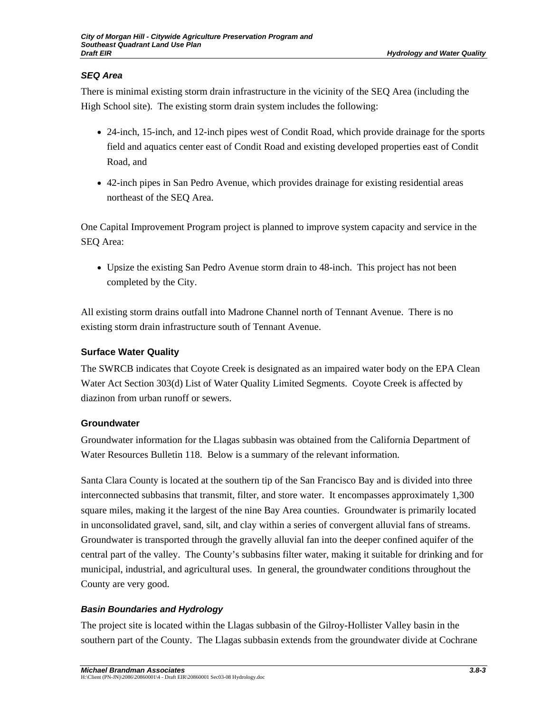# *SEQ Area*

There is minimal existing storm drain infrastructure in the vicinity of the SEQ Area (including the High School site). The existing storm drain system includes the following:

- 24-inch, 15-inch, and 12-inch pipes west of Condit Road, which provide drainage for the sports field and aquatics center east of Condit Road and existing developed properties east of Condit Road, and
- 42-inch pipes in San Pedro Avenue, which provides drainage for existing residential areas northeast of the SEQ Area.

One Capital Improvement Program project is planned to improve system capacity and service in the SEQ Area:

• Upsize the existing San Pedro Avenue storm drain to 48-inch. This project has not been completed by the City.

All existing storm drains outfall into Madrone Channel north of Tennant Avenue. There is no existing storm drain infrastructure south of Tennant Avenue.

# **Surface Water Quality**

The SWRCB indicates that Coyote Creek is designated as an impaired water body on the EPA Clean Water Act Section 303(d) List of Water Quality Limited Segments. Coyote Creek is affected by diazinon from urban runoff or sewers.

### **Groundwater**

Groundwater information for the Llagas subbasin was obtained from the California Department of Water Resources Bulletin 118. Below is a summary of the relevant information.

Santa Clara County is located at the southern tip of the San Francisco Bay and is divided into three interconnected subbasins that transmit, filter, and store water. It encompasses approximately 1,300 square miles, making it the largest of the nine Bay Area counties. Groundwater is primarily located in unconsolidated gravel, sand, silt, and clay within a series of convergent alluvial fans of streams. Groundwater is transported through the gravelly alluvial fan into the deeper confined aquifer of the central part of the valley. The County's subbasins filter water, making it suitable for drinking and for municipal, industrial, and agricultural uses. In general, the groundwater conditions throughout the County are very good.

# *Basin Boundaries and Hydrology*

The project site is located within the Llagas subbasin of the Gilroy-Hollister Valley basin in the southern part of the County. The Llagas subbasin extends from the groundwater divide at Cochrane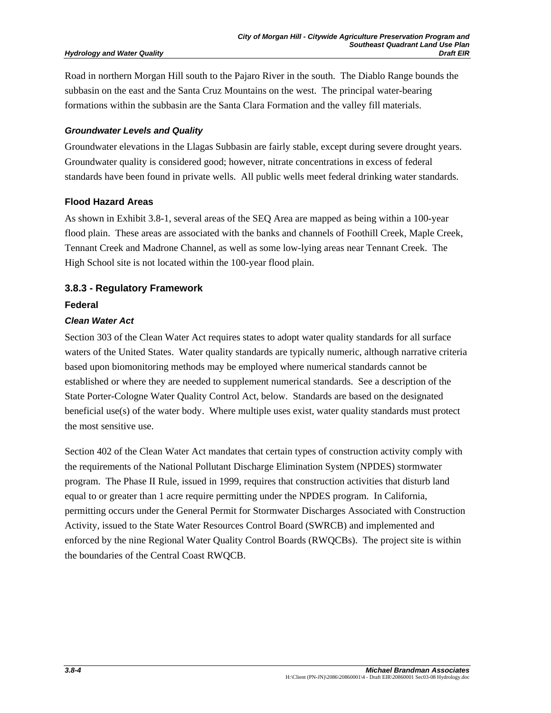Road in northern Morgan Hill south to the Pajaro River in the south. The Diablo Range bounds the subbasin on the east and the Santa Cruz Mountains on the west. The principal water-bearing formations within the subbasin are the Santa Clara Formation and the valley fill materials.

#### *Groundwater Levels and Quality*

Groundwater elevations in the Llagas Subbasin are fairly stable, except during severe drought years. Groundwater quality is considered good; however, nitrate concentrations in excess of federal standards have been found in private wells. All public wells meet federal drinking water standards.

#### **Flood Hazard Areas**

As shown in Exhibit 3.8-1, several areas of the SEQ Area are mapped as being within a 100-year flood plain. These areas are associated with the banks and channels of Foothill Creek, Maple Creek, Tennant Creek and Madrone Channel, as well as some low-lying areas near Tennant Creek. The High School site is not located within the 100-year flood plain.

# **3.8.3 - Regulatory Framework**

#### **Federal**

### *Clean Water Act*

Section 303 of the Clean Water Act requires states to adopt water quality standards for all surface waters of the United States. Water quality standards are typically numeric, although narrative criteria based upon biomonitoring methods may be employed where numerical standards cannot be established or where they are needed to supplement numerical standards. See a description of the State Porter-Cologne Water Quality Control Act, below. Standards are based on the designated beneficial use(s) of the water body. Where multiple uses exist, water quality standards must protect the most sensitive use.

Section 402 of the Clean Water Act mandates that certain types of construction activity comply with the requirements of the National Pollutant Discharge Elimination System (NPDES) stormwater program. The Phase II Rule, issued in 1999, requires that construction activities that disturb land equal to or greater than 1 acre require permitting under the NPDES program. In California, permitting occurs under the General Permit for Stormwater Discharges Associated with Construction Activity, issued to the State Water Resources Control Board (SWRCB) and implemented and enforced by the nine Regional Water Quality Control Boards (RWQCBs). The project site is within the boundaries of the Central Coast RWQCB.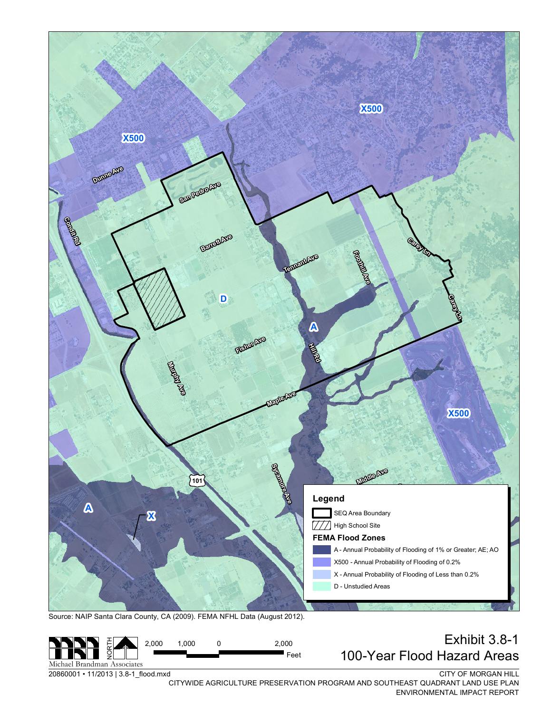

#### N Michael Brandman Associates 2,000 1,000 0 2,000 2,000 1,000 0 EXNIDIL 3.8-1 2,000  $\blacksquare$  Feet

20860001 · 11/2013 | 3.8-1\_flood.mxd

CITY OF MORGAN HILL

CITYWIDE AGRICULTURE PRESERVATION PROGRAM AND SOUTHEAST QUADRANT LAND USE PLAN ENVIRONMENTAL IMPACT REPORT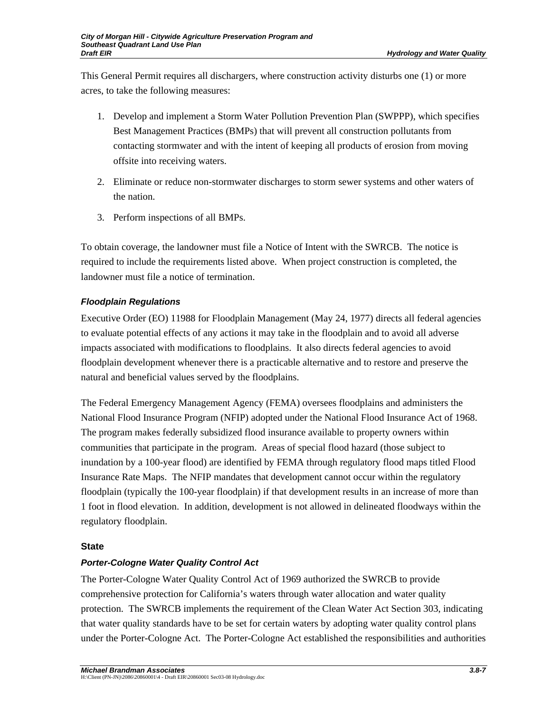This General Permit requires all dischargers, where construction activity disturbs one (1) or more acres, to take the following measures:

- 1. Develop and implement a Storm Water Pollution Prevention Plan (SWPPP), which specifies Best Management Practices (BMPs) that will prevent all construction pollutants from contacting stormwater and with the intent of keeping all products of erosion from moving offsite into receiving waters.
- 2. Eliminate or reduce non-stormwater discharges to storm sewer systems and other waters of the nation.
- 3. Perform inspections of all BMPs.

To obtain coverage, the landowner must file a Notice of Intent with the SWRCB. The notice is required to include the requirements listed above. When project construction is completed, the landowner must file a notice of termination.

# *Floodplain Regulations*

Executive Order (EO) 11988 for Floodplain Management (May 24, 1977) directs all federal agencies to evaluate potential effects of any actions it may take in the floodplain and to avoid all adverse impacts associated with modifications to floodplains. It also directs federal agencies to avoid floodplain development whenever there is a practicable alternative and to restore and preserve the natural and beneficial values served by the floodplains.

The Federal Emergency Management Agency (FEMA) oversees floodplains and administers the National Flood Insurance Program (NFIP) adopted under the National Flood Insurance Act of 1968. The program makes federally subsidized flood insurance available to property owners within communities that participate in the program. Areas of special flood hazard (those subject to inundation by a 100-year flood) are identified by FEMA through regulatory flood maps titled Flood Insurance Rate Maps. The NFIP mandates that development cannot occur within the regulatory floodplain (typically the 100-year floodplain) if that development results in an increase of more than 1 foot in flood elevation. In addition, development is not allowed in delineated floodways within the regulatory floodplain.

### **State**

# *Porter-Cologne Water Quality Control Act*

The Porter-Cologne Water Quality Control Act of 1969 authorized the SWRCB to provide comprehensive protection for California's waters through water allocation and water quality protection. The SWRCB implements the requirement of the Clean Water Act Section 303, indicating that water quality standards have to be set for certain waters by adopting water quality control plans under the Porter-Cologne Act. The Porter-Cologne Act established the responsibilities and authorities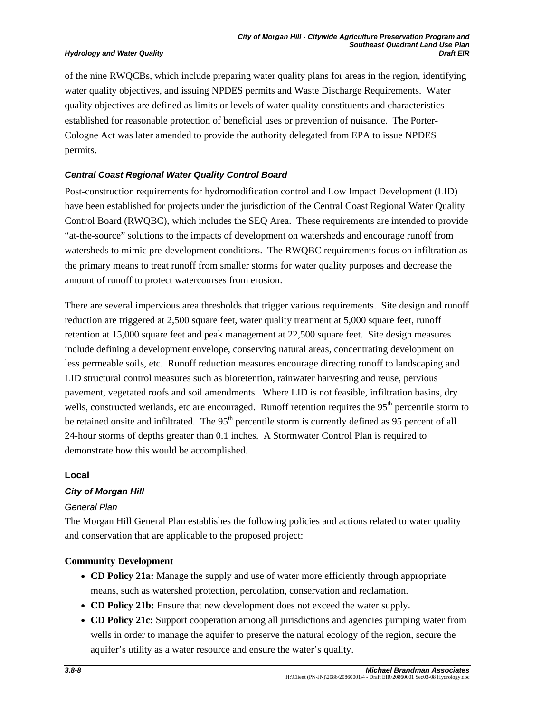of the nine RWQCBs, which include preparing water quality plans for areas in the region, identifying water quality objectives, and issuing NPDES permits and Waste Discharge Requirements. Water quality objectives are defined as limits or levels of water quality constituents and characteristics established for reasonable protection of beneficial uses or prevention of nuisance. The Porter-Cologne Act was later amended to provide the authority delegated from EPA to issue NPDES permits.

### *Central Coast Regional Water Quality Control Board*

Post-construction requirements for hydromodification control and Low Impact Development (LID) have been established for projects under the jurisdiction of the Central Coast Regional Water Quality Control Board (RWQBC), which includes the SEQ Area. These requirements are intended to provide "at-the-source" solutions to the impacts of development on watersheds and encourage runoff from watersheds to mimic pre-development conditions. The RWQBC requirements focus on infiltration as the primary means to treat runoff from smaller storms for water quality purposes and decrease the amount of runoff to protect watercourses from erosion.

There are several impervious area thresholds that trigger various requirements. Site design and runoff reduction are triggered at 2,500 square feet, water quality treatment at 5,000 square feet, runoff retention at 15,000 square feet and peak management at 22,500 square feet. Site design measures include defining a development envelope, conserving natural areas, concentrating development on less permeable soils, etc. Runoff reduction measures encourage directing runoff to landscaping and LID structural control measures such as bioretention, rainwater harvesting and reuse, pervious pavement, vegetated roofs and soil amendments. Where LID is not feasible, infiltration basins, dry wells, constructed wetlands, etc are encouraged. Runoff retention requires the 95<sup>th</sup> percentile storm to be retained onsite and infiltrated. The 95<sup>th</sup> percentile storm is currently defined as 95 percent of all 24-hour storms of depths greater than 0.1 inches. A Stormwater Control Plan is required to demonstrate how this would be accomplished.

### **Local**

### *City of Morgan Hill*

#### *General Plan*

The Morgan Hill General Plan establishes the following policies and actions related to water quality and conservation that are applicable to the proposed project:

### **Community Development**

- **CD Policy 21a:** Manage the supply and use of water more efficiently through appropriate means, such as watershed protection, percolation, conservation and reclamation.
- **CD Policy 21b:** Ensure that new development does not exceed the water supply.
- **CD Policy 21c:** Support cooperation among all jurisdictions and agencies pumping water from wells in order to manage the aquifer to preserve the natural ecology of the region, secure the aquifer's utility as a water resource and ensure the water's quality.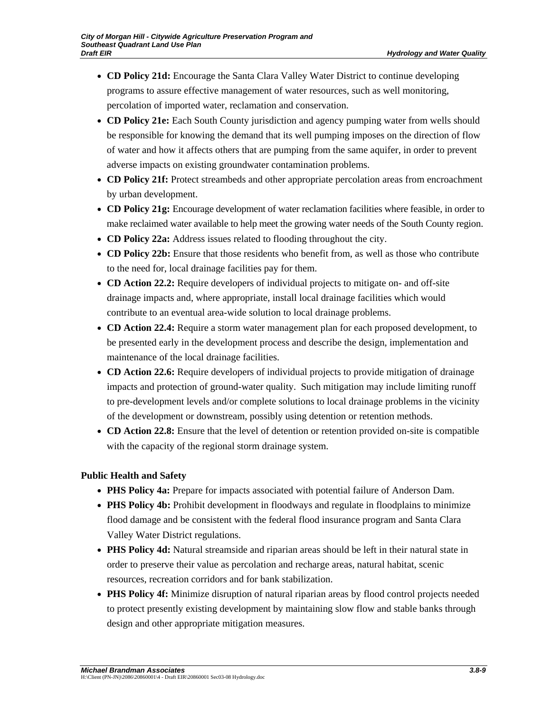- **CD Policy 21d:** Encourage the Santa Clara Valley Water District to continue developing programs to assure effective management of water resources, such as well monitoring, percolation of imported water, reclamation and conservation.
- **CD Policy 21e:** Each South County jurisdiction and agency pumping water from wells should be responsible for knowing the demand that its well pumping imposes on the direction of flow of water and how it affects others that are pumping from the same aquifer, in order to prevent adverse impacts on existing groundwater contamination problems.
- **CD Policy 21f:** Protect streambeds and other appropriate percolation areas from encroachment by urban development.
- **CD Policy 21g:** Encourage development of water reclamation facilities where feasible, in order to make reclaimed water available to help meet the growing water needs of the South County region.
- **CD Policy 22a:** Address issues related to flooding throughout the city.
- **CD Policy 22b:** Ensure that those residents who benefit from, as well as those who contribute to the need for, local drainage facilities pay for them.
- **CD Action 22.2:** Require developers of individual projects to mitigate on- and off-site drainage impacts and, where appropriate, install local drainage facilities which would contribute to an eventual area-wide solution to local drainage problems.
- **CD Action 22.4:** Require a storm water management plan for each proposed development, to be presented early in the development process and describe the design, implementation and maintenance of the local drainage facilities.
- **CD Action 22.6:** Require developers of individual projects to provide mitigation of drainage impacts and protection of ground-water quality. Such mitigation may include limiting runoff to pre-development levels and/or complete solutions to local drainage problems in the vicinity of the development or downstream, possibly using detention or retention methods.
- **CD Action 22.8:** Ensure that the level of detention or retention provided on-site is compatible with the capacity of the regional storm drainage system.

# **Public Health and Safety**

- **PHS Policy 4a:** Prepare for impacts associated with potential failure of Anderson Dam.
- **PHS Policy 4b:** Prohibit development in floodways and regulate in floodplains to minimize flood damage and be consistent with the federal flood insurance program and Santa Clara Valley Water District regulations.
- **PHS Policy 4d:** Natural streamside and riparian areas should be left in their natural state in order to preserve their value as percolation and recharge areas, natural habitat, scenic resources, recreation corridors and for bank stabilization.
- **PHS Policy 4f:** Minimize disruption of natural riparian areas by flood control projects needed to protect presently existing development by maintaining slow flow and stable banks through design and other appropriate mitigation measures.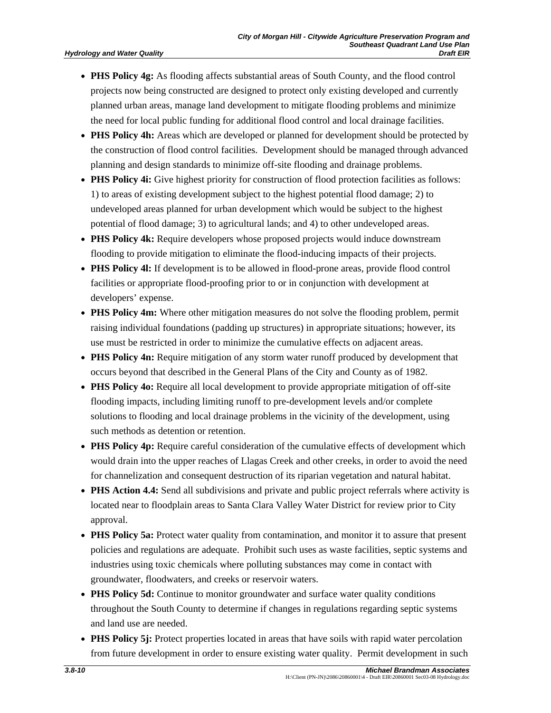- **PHS Policy 4g:** As flooding affects substantial areas of South County, and the flood control projects now being constructed are designed to protect only existing developed and currently planned urban areas, manage land development to mitigate flooding problems and minimize the need for local public funding for additional flood control and local drainage facilities.
- **PHS Policy 4h:** Areas which are developed or planned for development should be protected by the construction of flood control facilities. Development should be managed through advanced planning and design standards to minimize off-site flooding and drainage problems.
- **PHS Policy 4i:** Give highest priority for construction of flood protection facilities as follows: 1) to areas of existing development subject to the highest potential flood damage; 2) to undeveloped areas planned for urban development which would be subject to the highest potential of flood damage; 3) to agricultural lands; and 4) to other undeveloped areas.
- **PHS Policy 4k:** Require developers whose proposed projects would induce downstream flooding to provide mitigation to eliminate the flood-inducing impacts of their projects.
- **PHS Policy 4l:** If development is to be allowed in flood-prone areas, provide flood control facilities or appropriate flood-proofing prior to or in conjunction with development at developers' expense.
- **PHS Policy 4m:** Where other mitigation measures do not solve the flooding problem, permit raising individual foundations (padding up structures) in appropriate situations; however, its use must be restricted in order to minimize the cumulative effects on adjacent areas.
- **PHS Policy 4n:** Require mitigation of any storm water runoff produced by development that occurs beyond that described in the General Plans of the City and County as of 1982.
- **PHS Policy 4o:** Require all local development to provide appropriate mitigation of off-site flooding impacts, including limiting runoff to pre-development levels and/or complete solutions to flooding and local drainage problems in the vicinity of the development, using such methods as detention or retention.
- **PHS Policy 4p:** Require careful consideration of the cumulative effects of development which would drain into the upper reaches of Llagas Creek and other creeks, in order to avoid the need for channelization and consequent destruction of its riparian vegetation and natural habitat.
- **PHS Action 4.4:** Send all subdivisions and private and public project referrals where activity is located near to floodplain areas to Santa Clara Valley Water District for review prior to City approval.
- **PHS Policy 5a:** Protect water quality from contamination, and monitor it to assure that present policies and regulations are adequate. Prohibit such uses as waste facilities, septic systems and industries using toxic chemicals where polluting substances may come in contact with groundwater, floodwaters, and creeks or reservoir waters.
- **PHS Policy 5d:** Continue to monitor groundwater and surface water quality conditions throughout the South County to determine if changes in regulations regarding septic systems and land use are needed.
- **PHS Policy 5j:** Protect properties located in areas that have soils with rapid water percolation from future development in order to ensure existing water quality. Permit development in such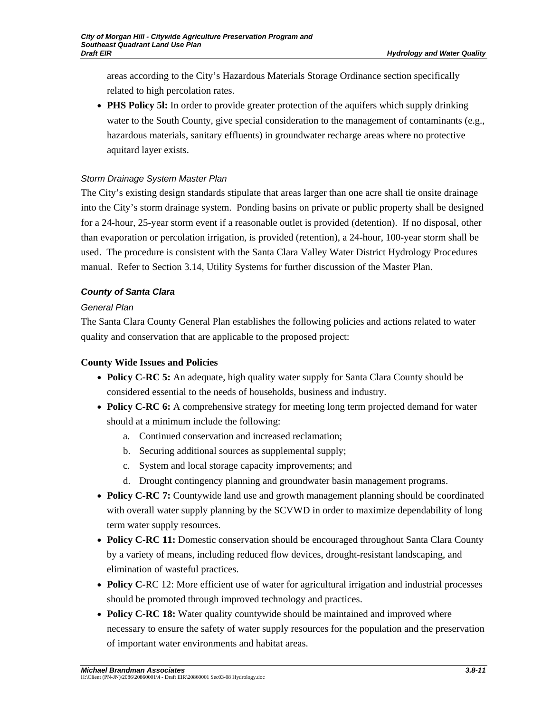areas according to the City's Hazardous Materials Storage Ordinance section specifically related to high percolation rates.

• **PHS Policy 51:** In order to provide greater protection of the aquifers which supply drinking water to the South County, give special consideration to the management of contaminants (e.g., hazardous materials, sanitary effluents) in groundwater recharge areas where no protective aquitard layer exists.

# *Storm Drainage System Master Plan*

The City's existing design standards stipulate that areas larger than one acre shall tie onsite drainage into the City's storm drainage system. Ponding basins on private or public property shall be designed for a 24-hour, 25-year storm event if a reasonable outlet is provided (detention). If no disposal, other than evaporation or percolation irrigation, is provided (retention), a 24-hour, 100-year storm shall be used. The procedure is consistent with the Santa Clara Valley Water District Hydrology Procedures manual. Refer to Section 3.14, Utility Systems for further discussion of the Master Plan.

# *County of Santa Clara*

# *General Plan*

The Santa Clara County General Plan establishes the following policies and actions related to water quality and conservation that are applicable to the proposed project:

# **County Wide Issues and Policies**

- **Policy C-RC 5:** An adequate, high quality water supply for Santa Clara County should be considered essential to the needs of households, business and industry.
- **Policy C-RC 6:** A comprehensive strategy for meeting long term projected demand for water should at a minimum include the following:
	- a. Continued conservation and increased reclamation;
	- b. Securing additional sources as supplemental supply;
	- c. System and local storage capacity improvements; and
	- d. Drought contingency planning and groundwater basin management programs.
- **Policy C-RC 7:** Countywide land use and growth management planning should be coordinated with overall water supply planning by the SCVWD in order to maximize dependability of long term water supply resources.
- **Policy C-RC 11:** Domestic conservation should be encouraged throughout Santa Clara County by a variety of means, including reduced flow devices, drought-resistant landscaping, and elimination of wasteful practices.
- **Policy C**-RC 12: More efficient use of water for agricultural irrigation and industrial processes should be promoted through improved technology and practices.
- **Policy C-RC 18:** Water quality countywide should be maintained and improved where necessary to ensure the safety of water supply resources for the population and the preservation of important water environments and habitat areas.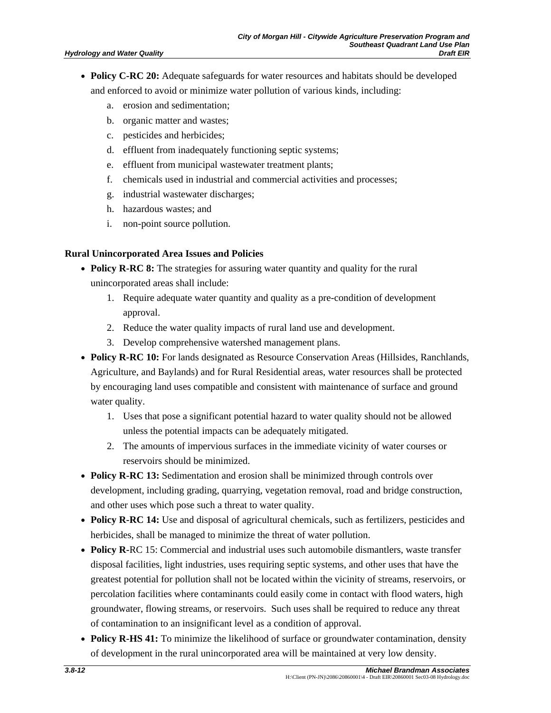- **Policy C-RC 20:** Adequate safeguards for water resources and habitats should be developed and enforced to avoid or minimize water pollution of various kinds, including:
	- a. erosion and sedimentation;
	- b. organic matter and wastes;
	- c. pesticides and herbicides;
	- d. effluent from inadequately functioning septic systems;
	- e. effluent from municipal wastewater treatment plants;
	- f. chemicals used in industrial and commercial activities and processes;
	- g. industrial wastewater discharges;
	- h. hazardous wastes; and
	- i. non-point source pollution.

#### **Rural Unincorporated Area Issues and Policies**

- **Policy R-RC 8:** The strategies for assuring water quantity and quality for the rural unincorporated areas shall include:
	- 1. Require adequate water quantity and quality as a pre-condition of development approval.
	- 2. Reduce the water quality impacts of rural land use and development.
	- 3. Develop comprehensive watershed management plans.
- **Policy R-RC 10:** For lands designated as Resource Conservation Areas (Hillsides, Ranchlands, Agriculture, and Baylands) and for Rural Residential areas, water resources shall be protected by encouraging land uses compatible and consistent with maintenance of surface and ground water quality.
	- 1. Uses that pose a significant potential hazard to water quality should not be allowed unless the potential impacts can be adequately mitigated.
	- 2. The amounts of impervious surfaces in the immediate vicinity of water courses or reservoirs should be minimized.
- **Policy R-RC 13:** Sedimentation and erosion shall be minimized through controls over development, including grading, quarrying, vegetation removal, road and bridge construction, and other uses which pose such a threat to water quality.
- **Policy R-RC 14:** Use and disposal of agricultural chemicals, such as fertilizers, pesticides and herbicides, shall be managed to minimize the threat of water pollution.
- **Policy R-**RC 15: Commercial and industrial uses such automobile dismantlers, waste transfer disposal facilities, light industries, uses requiring septic systems, and other uses that have the greatest potential for pollution shall not be located within the vicinity of streams, reservoirs, or percolation facilities where contaminants could easily come in contact with flood waters, high groundwater, flowing streams, or reservoirs. Such uses shall be required to reduce any threat of contamination to an insignificant level as a condition of approval.
- **Policy R-HS 41:** To minimize the likelihood of surface or groundwater contamination, density of development in the rural unincorporated area will be maintained at very low density.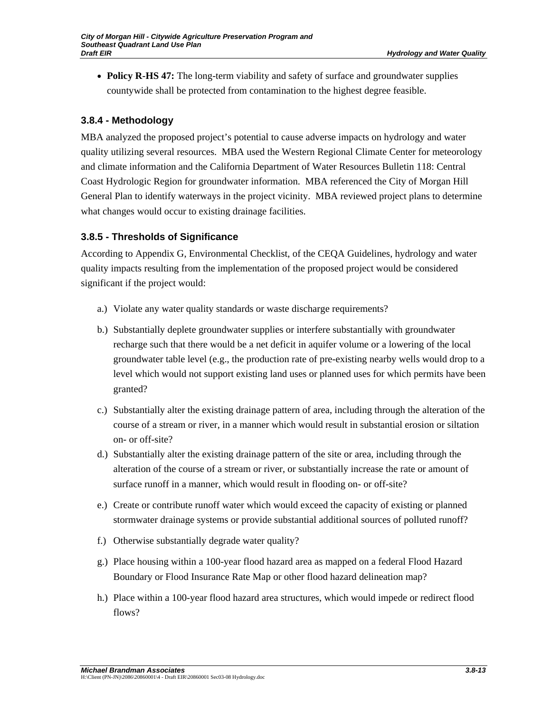• **Policy R-HS 47:** The long-term viability and safety of surface and groundwater supplies countywide shall be protected from contamination to the highest degree feasible.

# **3.8.4 - Methodology**

MBA analyzed the proposed project's potential to cause adverse impacts on hydrology and water quality utilizing several resources. MBA used the Western Regional Climate Center for meteorology and climate information and the California Department of Water Resources Bulletin 118: Central Coast Hydrologic Region for groundwater information. MBA referenced the City of Morgan Hill General Plan to identify waterways in the project vicinity. MBA reviewed project plans to determine what changes would occur to existing drainage facilities.

# **3.8.5 - Thresholds of Significance**

According to Appendix G, Environmental Checklist, of the CEQA Guidelines, hydrology and water quality impacts resulting from the implementation of the proposed project would be considered significant if the project would:

- a.) Violate any water quality standards or waste discharge requirements?
- b.) Substantially deplete groundwater supplies or interfere substantially with groundwater recharge such that there would be a net deficit in aquifer volume or a lowering of the local groundwater table level (e.g., the production rate of pre-existing nearby wells would drop to a level which would not support existing land uses or planned uses for which permits have been granted?
- c.) Substantially alter the existing drainage pattern of area, including through the alteration of the course of a stream or river, in a manner which would result in substantial erosion or siltation on- or off-site?
- d.) Substantially alter the existing drainage pattern of the site or area, including through the alteration of the course of a stream or river, or substantially increase the rate or amount of surface runoff in a manner, which would result in flooding on- or off-site?
- e.) Create or contribute runoff water which would exceed the capacity of existing or planned stormwater drainage systems or provide substantial additional sources of polluted runoff?
- f.) Otherwise substantially degrade water quality?
- g.) Place housing within a 100-year flood hazard area as mapped on a federal Flood Hazard Boundary or Flood Insurance Rate Map or other flood hazard delineation map?
- h.) Place within a 100-year flood hazard area structures, which would impede or redirect flood flows?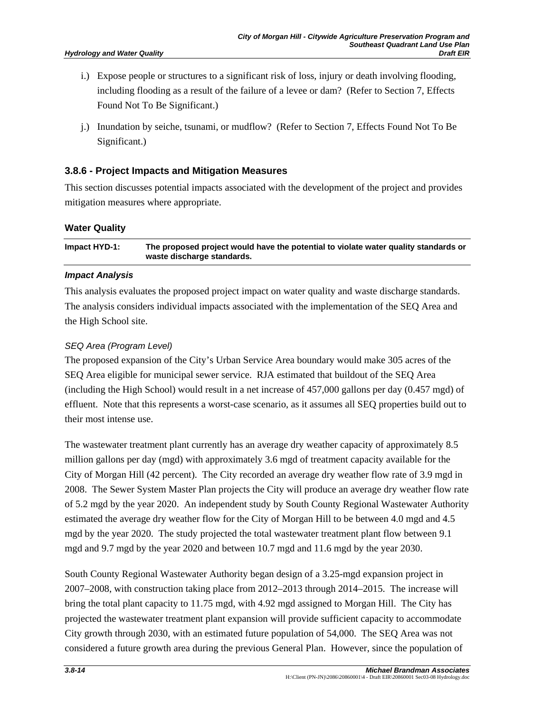- i.) Expose people or structures to a significant risk of loss, injury or death involving flooding, including flooding as a result of the failure of a levee or dam? (Refer to Section 7, Effects Found Not To Be Significant.)
- j.) Inundation by seiche, tsunami, or mudflow? (Refer to Section 7, Effects Found Not To Be Significant.)

### **3.8.6 - Project Impacts and Mitigation Measures**

This section discusses potential impacts associated with the development of the project and provides mitigation measures where appropriate.

#### **Water Quality**

**Impact HYD-1: The proposed project would have the potential to violate water quality standards or waste discharge standards.** 

#### *Impact Analysis*

This analysis evaluates the proposed project impact on water quality and waste discharge standards. The analysis considers individual impacts associated with the implementation of the SEQ Area and the High School site.

#### *SEQ Area (Program Level)*

The proposed expansion of the City's Urban Service Area boundary would make 305 acres of the SEQ Area eligible for municipal sewer service. RJA estimated that buildout of the SEQ Area (including the High School) would result in a net increase of 457,000 gallons per day (0.457 mgd) of effluent. Note that this represents a worst-case scenario, as it assumes all SEQ properties build out to their most intense use.

The wastewater treatment plant currently has an average dry weather capacity of approximately 8.5 million gallons per day (mgd) with approximately 3.6 mgd of treatment capacity available for the City of Morgan Hill (42 percent). The City recorded an average dry weather flow rate of 3.9 mgd in 2008. The Sewer System Master Plan projects the City will produce an average dry weather flow rate of 5.2 mgd by the year 2020. An independent study by South County Regional Wastewater Authority estimated the average dry weather flow for the City of Morgan Hill to be between 4.0 mgd and 4.5 mgd by the year 2020. The study projected the total wastewater treatment plant flow between 9.1 mgd and 9.7 mgd by the year 2020 and between 10.7 mgd and 11.6 mgd by the year 2030.

South County Regional Wastewater Authority began design of a 3.25-mgd expansion project in 2007–2008, with construction taking place from 2012–2013 through 2014–2015. The increase will bring the total plant capacity to 11.75 mgd, with 4.92 mgd assigned to Morgan Hill. The City has projected the wastewater treatment plant expansion will provide sufficient capacity to accommodate City growth through 2030, with an estimated future population of 54,000. The SEQ Area was not considered a future growth area during the previous General Plan. However, since the population of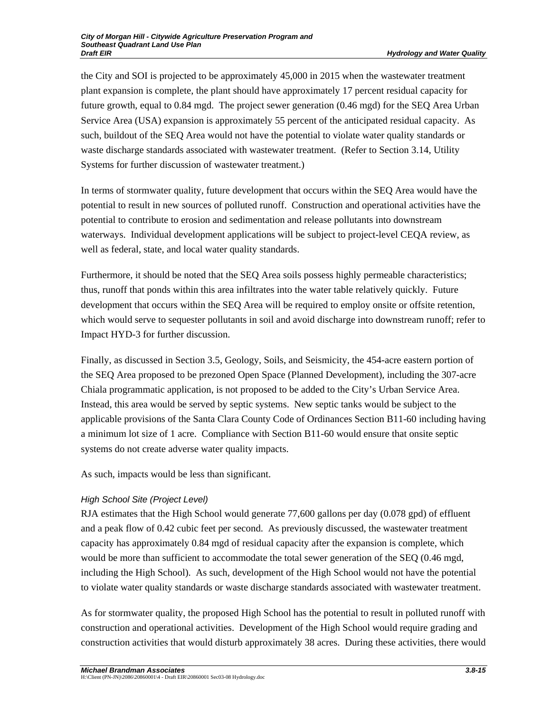the City and SOI is projected to be approximately 45,000 in 2015 when the wastewater treatment plant expansion is complete, the plant should have approximately 17 percent residual capacity for future growth, equal to 0.84 mgd. The project sewer generation (0.46 mgd) for the SEQ Area Urban Service Area (USA) expansion is approximately 55 percent of the anticipated residual capacity. As such, buildout of the SEQ Area would not have the potential to violate water quality standards or waste discharge standards associated with wastewater treatment. (Refer to Section 3.14, Utility Systems for further discussion of wastewater treatment.)

In terms of stormwater quality, future development that occurs within the SEQ Area would have the potential to result in new sources of polluted runoff. Construction and operational activities have the potential to contribute to erosion and sedimentation and release pollutants into downstream waterways. Individual development applications will be subject to project-level CEQA review, as well as federal, state, and local water quality standards.

Furthermore, it should be noted that the SEQ Area soils possess highly permeable characteristics; thus, runoff that ponds within this area infiltrates into the water table relatively quickly. Future development that occurs within the SEQ Area will be required to employ onsite or offsite retention, which would serve to sequester pollutants in soil and avoid discharge into downstream runoff; refer to Impact HYD-3 for further discussion.

Finally, as discussed in Section 3.5, Geology, Soils, and Seismicity, the 454-acre eastern portion of the SEQ Area proposed to be prezoned Open Space (Planned Development), including the 307-acre Chiala programmatic application, is not proposed to be added to the City's Urban Service Area. Instead, this area would be served by septic systems. New septic tanks would be subject to the applicable provisions of the Santa Clara County Code of Ordinances Section B11-60 including having a minimum lot size of 1 acre. Compliance with Section B11-60 would ensure that onsite septic systems do not create adverse water quality impacts.

As such, impacts would be less than significant.

### *High School Site (Project Level)*

RJA estimates that the High School would generate 77,600 gallons per day (0.078 gpd) of effluent and a peak flow of 0.42 cubic feet per second. As previously discussed, the wastewater treatment capacity has approximately 0.84 mgd of residual capacity after the expansion is complete, which would be more than sufficient to accommodate the total sewer generation of the SEQ (0.46 mgd, including the High School). As such, development of the High School would not have the potential to violate water quality standards or waste discharge standards associated with wastewater treatment.

As for stormwater quality, the proposed High School has the potential to result in polluted runoff with construction and operational activities. Development of the High School would require grading and construction activities that would disturb approximately 38 acres. During these activities, there would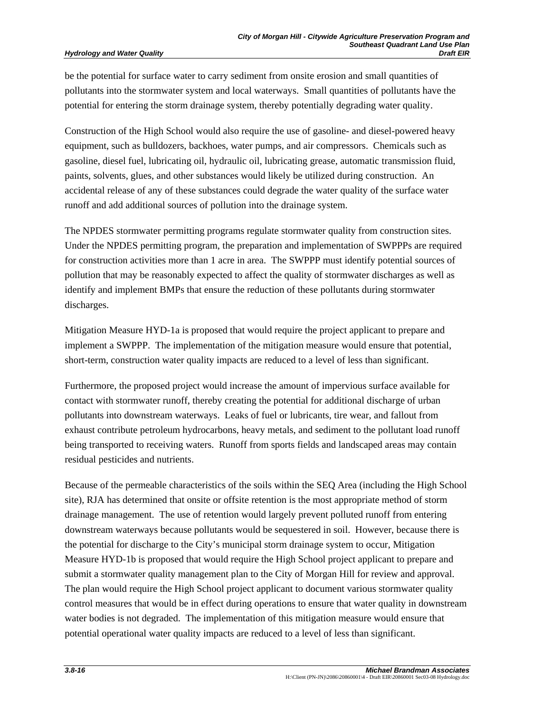be the potential for surface water to carry sediment from onsite erosion and small quantities of pollutants into the stormwater system and local waterways. Small quantities of pollutants have the potential for entering the storm drainage system, thereby potentially degrading water quality.

Construction of the High School would also require the use of gasoline- and diesel-powered heavy equipment, such as bulldozers, backhoes, water pumps, and air compressors. Chemicals such as gasoline, diesel fuel, lubricating oil, hydraulic oil, lubricating grease, automatic transmission fluid, paints, solvents, glues, and other substances would likely be utilized during construction. An accidental release of any of these substances could degrade the water quality of the surface water runoff and add additional sources of pollution into the drainage system.

The NPDES stormwater permitting programs regulate stormwater quality from construction sites. Under the NPDES permitting program, the preparation and implementation of SWPPPs are required for construction activities more than 1 acre in area. The SWPPP must identify potential sources of pollution that may be reasonably expected to affect the quality of stormwater discharges as well as identify and implement BMPs that ensure the reduction of these pollutants during stormwater discharges.

Mitigation Measure HYD-1a is proposed that would require the project applicant to prepare and implement a SWPPP. The implementation of the mitigation measure would ensure that potential, short-term, construction water quality impacts are reduced to a level of less than significant.

Furthermore, the proposed project would increase the amount of impervious surface available for contact with stormwater runoff, thereby creating the potential for additional discharge of urban pollutants into downstream waterways. Leaks of fuel or lubricants, tire wear, and fallout from exhaust contribute petroleum hydrocarbons, heavy metals, and sediment to the pollutant load runoff being transported to receiving waters. Runoff from sports fields and landscaped areas may contain residual pesticides and nutrients.

Because of the permeable characteristics of the soils within the SEQ Area (including the High School site), RJA has determined that onsite or offsite retention is the most appropriate method of storm drainage management. The use of retention would largely prevent polluted runoff from entering downstream waterways because pollutants would be sequestered in soil. However, because there is the potential for discharge to the City's municipal storm drainage system to occur, Mitigation Measure HYD-1b is proposed that would require the High School project applicant to prepare and submit a stormwater quality management plan to the City of Morgan Hill for review and approval. The plan would require the High School project applicant to document various stormwater quality control measures that would be in effect during operations to ensure that water quality in downstream water bodies is not degraded. The implementation of this mitigation measure would ensure that potential operational water quality impacts are reduced to a level of less than significant.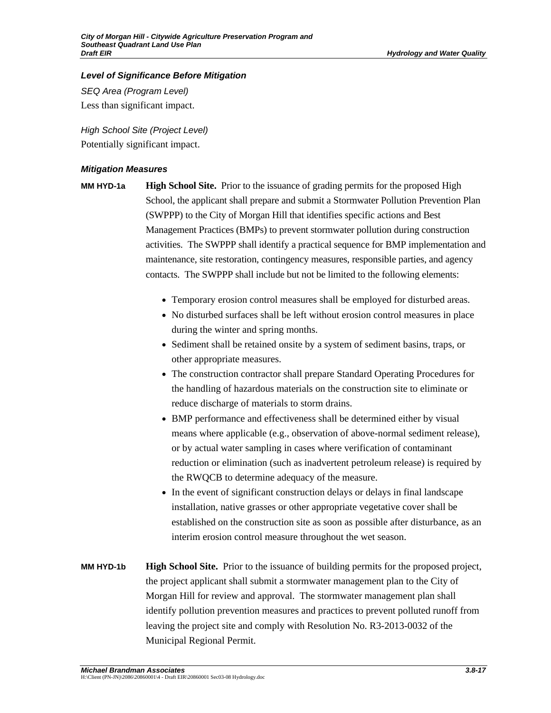# *Level of Significance Before Mitigation*

*SEQ Area (Program Level)*  Less than significant impact.

*High School Site (Project Level)*  Potentially significant impact.

## *Mitigation Measures*

**MM HYD-1a High School Site.** Prior to the issuance of grading permits for the proposed High School, the applicant shall prepare and submit a Stormwater Pollution Prevention Plan (SWPPP) to the City of Morgan Hill that identifies specific actions and Best Management Practices (BMPs) to prevent stormwater pollution during construction activities. The SWPPP shall identify a practical sequence for BMP implementation and maintenance, site restoration, contingency measures, responsible parties, and agency contacts. The SWPPP shall include but not be limited to the following elements:

- Temporary erosion control measures shall be employed for disturbed areas.
- No disturbed surfaces shall be left without erosion control measures in place during the winter and spring months.
- Sediment shall be retained onsite by a system of sediment basins, traps, or other appropriate measures.
- The construction contractor shall prepare Standard Operating Procedures for the handling of hazardous materials on the construction site to eliminate or reduce discharge of materials to storm drains.
- BMP performance and effectiveness shall be determined either by visual means where applicable (e.g., observation of above-normal sediment release), or by actual water sampling in cases where verification of contaminant reduction or elimination (such as inadvertent petroleum release) is required by the RWQCB to determine adequacy of the measure.
- In the event of significant construction delays or delays in final landscape installation, native grasses or other appropriate vegetative cover shall be established on the construction site as soon as possible after disturbance, as an interim erosion control measure throughout the wet season.
- **MM HYD-1b High School Site.** Prior to the issuance of building permits for the proposed project, the project applicant shall submit a stormwater management plan to the City of Morgan Hill for review and approval. The stormwater management plan shall identify pollution prevention measures and practices to prevent polluted runoff from leaving the project site and comply with Resolution No. R3-2013-0032 of the Municipal Regional Permit.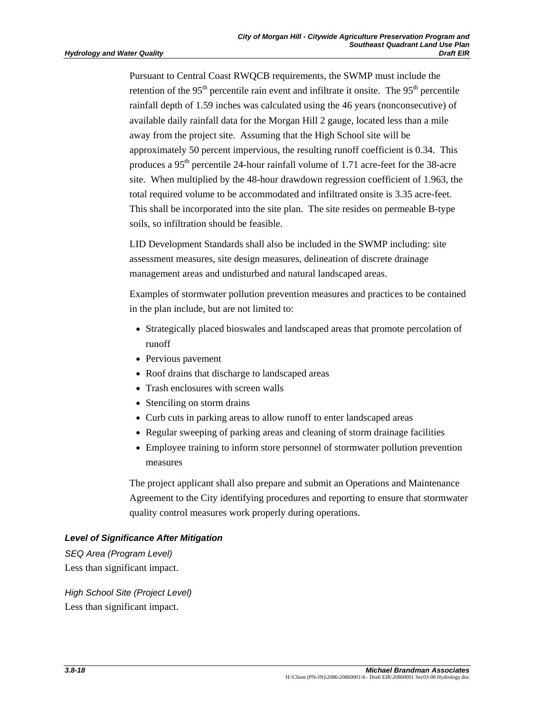Pursuant to Central Coast RWQCB requirements, the SWMP must include the retention of the  $95<sup>th</sup>$  percentile rain event and infiltrate it onsite. The  $95<sup>th</sup>$  percentile rainfall depth of 1.59 inches was calculated using the 46 years (nonconsecutive) of available daily rainfall data for the Morgan Hill 2 gauge, located less than a mile away from the project site. Assuming that the High School site will be approximately 50 percent impervious, the resulting runoff coefficient is 0.34. This produces a 95th percentile 24-hour rainfall volume of 1.71 acre-feet for the 38-acre site. When multiplied by the 48-hour drawdown regression coefficient of 1.963, the total required volume to be accommodated and infiltrated onsite is 3.35 acre-feet. This shall be incorporated into the site plan. The site resides on permeable B-type soils, so infiltration should be feasible.

LID Development Standards shall also be included in the SWMP including: site assessment measures, site design measures, delineation of discrete drainage management areas and undisturbed and natural landscaped areas.

Examples of stormwater pollution prevention measures and practices to be contained in the plan include, but are not limited to:

- Strategically placed bioswales and landscaped areas that promote percolation of runoff
- Pervious pavement
- Roof drains that discharge to landscaped areas
- Trash enclosures with screen walls
- Stenciling on storm drains
- Curb cuts in parking areas to allow runoff to enter landscaped areas
- Regular sweeping of parking areas and cleaning of storm drainage facilities
- Employee training to inform store personnel of stormwater pollution prevention measures

The project applicant shall also prepare and submit an Operations and Maintenance Agreement to the City identifying procedures and reporting to ensure that stormwater quality control measures work properly during operations.

### *Level of Significance After Mitigation*

*SEQ Area (Program Level)*  Less than significant impact.

*High School Site (Project Level)*  Less than significant impact.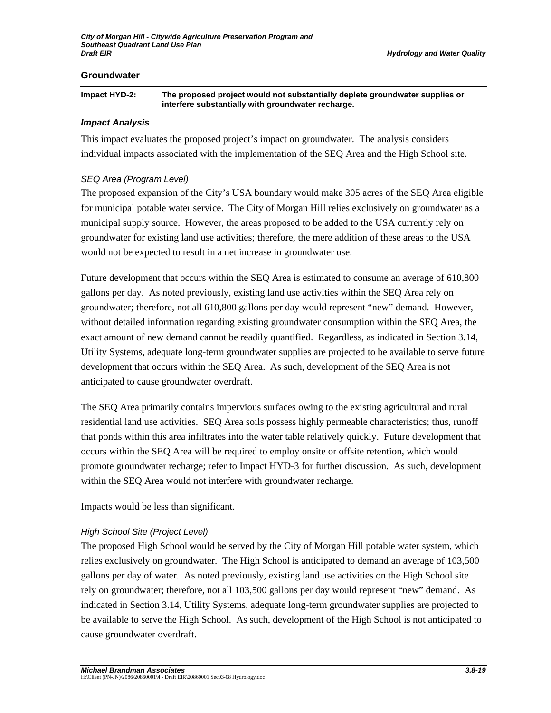#### **Groundwater**

| Impact HYD-2: | The proposed project would not substantially deplete groundwater supplies or |
|---------------|------------------------------------------------------------------------------|
|               | interfere substantially with groundwater recharge.                           |

#### *Impact Analysis*

This impact evaluates the proposed project's impact on groundwater. The analysis considers individual impacts associated with the implementation of the SEQ Area and the High School site.

### *SEQ Area (Program Level)*

The proposed expansion of the City's USA boundary would make 305 acres of the SEQ Area eligible for municipal potable water service. The City of Morgan Hill relies exclusively on groundwater as a municipal supply source. However, the areas proposed to be added to the USA currently rely on groundwater for existing land use activities; therefore, the mere addition of these areas to the USA would not be expected to result in a net increase in groundwater use.

Future development that occurs within the SEQ Area is estimated to consume an average of 610,800 gallons per day. As noted previously, existing land use activities within the SEQ Area rely on groundwater; therefore, not all 610,800 gallons per day would represent "new" demand. However, without detailed information regarding existing groundwater consumption within the SEQ Area, the exact amount of new demand cannot be readily quantified. Regardless, as indicated in Section 3.14, Utility Systems, adequate long-term groundwater supplies are projected to be available to serve future development that occurs within the SEQ Area. As such, development of the SEQ Area is not anticipated to cause groundwater overdraft.

The SEQ Area primarily contains impervious surfaces owing to the existing agricultural and rural residential land use activities. SEQ Area soils possess highly permeable characteristics; thus, runoff that ponds within this area infiltrates into the water table relatively quickly. Future development that occurs within the SEQ Area will be required to employ onsite or offsite retention, which would promote groundwater recharge; refer to Impact HYD-3 for further discussion. As such, development within the SEQ Area would not interfere with groundwater recharge.

Impacts would be less than significant.

### *High School Site (Project Level)*

The proposed High School would be served by the City of Morgan Hill potable water system, which relies exclusively on groundwater. The High School is anticipated to demand an average of 103,500 gallons per day of water. As noted previously, existing land use activities on the High School site rely on groundwater; therefore, not all 103,500 gallons per day would represent "new" demand. As indicated in Section 3.14, Utility Systems, adequate long-term groundwater supplies are projected to be available to serve the High School. As such, development of the High School is not anticipated to cause groundwater overdraft.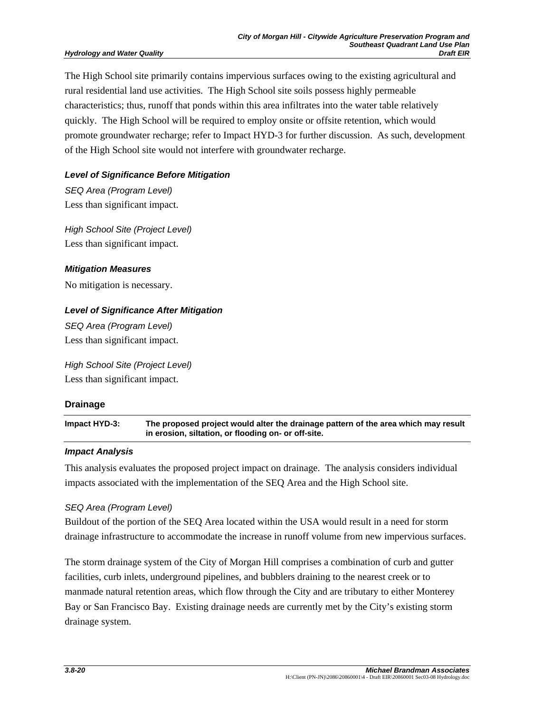The High School site primarily contains impervious surfaces owing to the existing agricultural and rural residential land use activities. The High School site soils possess highly permeable characteristics; thus, runoff that ponds within this area infiltrates into the water table relatively quickly. The High School will be required to employ onsite or offsite retention, which would promote groundwater recharge; refer to Impact HYD-3 for further discussion. As such, development of the High School site would not interfere with groundwater recharge.

### *Level of Significance Before Mitigation*

*SEQ Area (Program Level)*  Less than significant impact.

*High School Site (Project Level)*  Less than significant impact.

### *Mitigation Measures*

No mitigation is necessary.

### *Level of Significance After Mitigation*

*SEQ Area (Program Level)*  Less than significant impact.

*High School Site (Project Level)*  Less than significant impact.

### **Drainage**

**Impact HYD-3: The proposed project would alter the drainage pattern of the area which may result in erosion, siltation, or flooding on- or off-site.** 

#### *Impact Analysis*

This analysis evaluates the proposed project impact on drainage. The analysis considers individual impacts associated with the implementation of the SEQ Area and the High School site.

### *SEQ Area (Program Level)*

Buildout of the portion of the SEQ Area located within the USA would result in a need for storm drainage infrastructure to accommodate the increase in runoff volume from new impervious surfaces.

The storm drainage system of the City of Morgan Hill comprises a combination of curb and gutter facilities, curb inlets, underground pipelines, and bubblers draining to the nearest creek or to manmade natural retention areas, which flow through the City and are tributary to either Monterey Bay or San Francisco Bay. Existing drainage needs are currently met by the City's existing storm drainage system.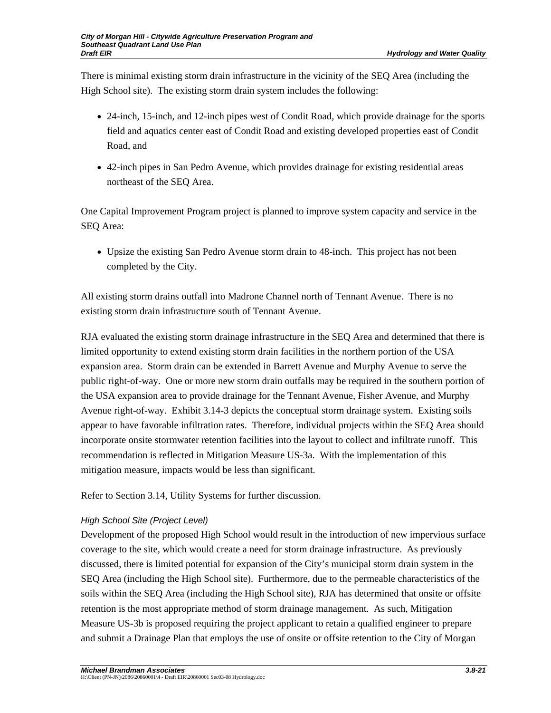There is minimal existing storm drain infrastructure in the vicinity of the SEQ Area (including the High School site). The existing storm drain system includes the following:

- 24-inch, 15-inch, and 12-inch pipes west of Condit Road, which provide drainage for the sports field and aquatics center east of Condit Road and existing developed properties east of Condit Road, and
- 42-inch pipes in San Pedro Avenue, which provides drainage for existing residential areas northeast of the SEQ Area.

One Capital Improvement Program project is planned to improve system capacity and service in the SEQ Area:

• Upsize the existing San Pedro Avenue storm drain to 48-inch. This project has not been completed by the City.

All existing storm drains outfall into Madrone Channel north of Tennant Avenue. There is no existing storm drain infrastructure south of Tennant Avenue.

RJA evaluated the existing storm drainage infrastructure in the SEQ Area and determined that there is limited opportunity to extend existing storm drain facilities in the northern portion of the USA expansion area. Storm drain can be extended in Barrett Avenue and Murphy Avenue to serve the public right-of-way. One or more new storm drain outfalls may be required in the southern portion of the USA expansion area to provide drainage for the Tennant Avenue, Fisher Avenue, and Murphy Avenue right-of-way. Exhibit 3.14-3 depicts the conceptual storm drainage system. Existing soils appear to have favorable infiltration rates. Therefore, individual projects within the SEQ Area should incorporate onsite stormwater retention facilities into the layout to collect and infiltrate runoff. This recommendation is reflected in Mitigation Measure US-3a. With the implementation of this mitigation measure, impacts would be less than significant.

Refer to Section 3.14, Utility Systems for further discussion.

# *High School Site (Project Level)*

Development of the proposed High School would result in the introduction of new impervious surface coverage to the site, which would create a need for storm drainage infrastructure. As previously discussed, there is limited potential for expansion of the City's municipal storm drain system in the SEQ Area (including the High School site). Furthermore, due to the permeable characteristics of the soils within the SEQ Area (including the High School site), RJA has determined that onsite or offsite retention is the most appropriate method of storm drainage management. As such, Mitigation Measure US-3b is proposed requiring the project applicant to retain a qualified engineer to prepare and submit a Drainage Plan that employs the use of onsite or offsite retention to the City of Morgan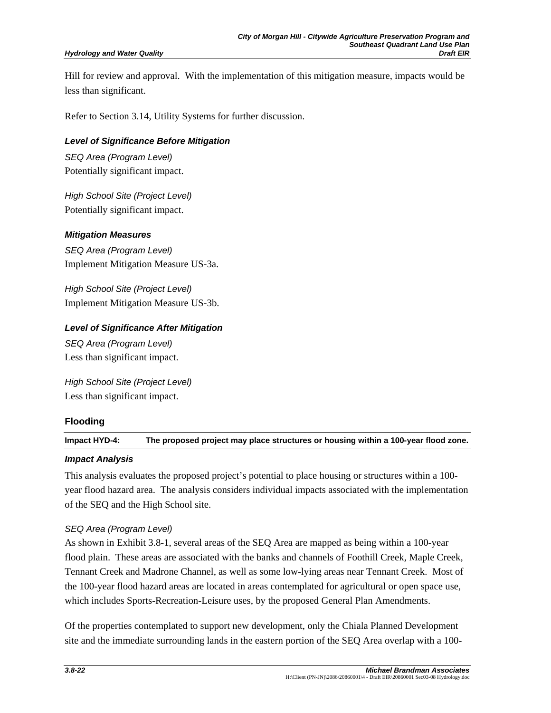Hill for review and approval. With the implementation of this mitigation measure, impacts would be less than significant.

Refer to Section 3.14, Utility Systems for further discussion.

*Level of Significance Before Mitigation SEQ Area (Program Level)*  Potentially significant impact.

*High School Site (Project Level)*  Potentially significant impact.

#### *Mitigation Measures*

*SEQ Area (Program Level)*  Implement Mitigation Measure US-3a.

*High School Site (Project Level)*  Implement Mitigation Measure US-3b.

### *Level of Significance After Mitigation*

*SEQ Area (Program Level)*  Less than significant impact.

*High School Site (Project Level)*  Less than significant impact.

### **Flooding**

**Impact HYD-4: The proposed project may place structures or housing within a 100-year flood zone.** 

#### *Impact Analysis*

This analysis evaluates the proposed project's potential to place housing or structures within a 100 year flood hazard area. The analysis considers individual impacts associated with the implementation of the SEQ and the High School site.

#### *SEQ Area (Program Level)*

As shown in Exhibit 3.8-1, several areas of the SEQ Area are mapped as being within a 100-year flood plain. These areas are associated with the banks and channels of Foothill Creek, Maple Creek, Tennant Creek and Madrone Channel, as well as some low-lying areas near Tennant Creek. Most of the 100-year flood hazard areas are located in areas contemplated for agricultural or open space use, which includes Sports-Recreation-Leisure uses, by the proposed General Plan Amendments.

Of the properties contemplated to support new development, only the Chiala Planned Development site and the immediate surrounding lands in the eastern portion of the SEQ Area overlap with a 100-